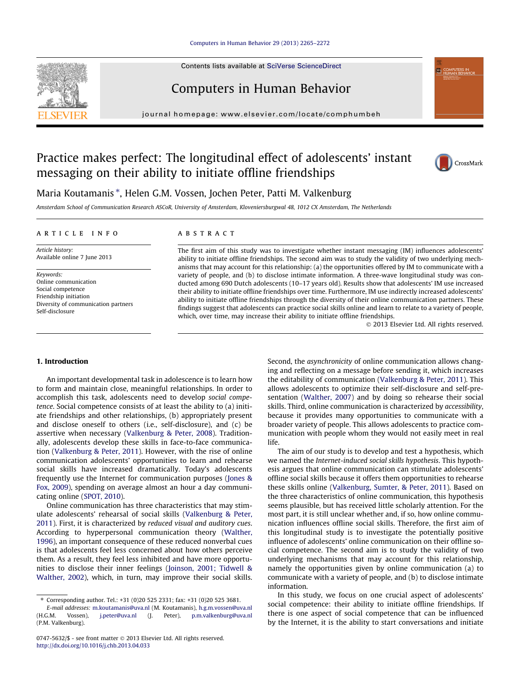# [Computers in Human Behavior 29 \(2013\) 2265–2272](http://dx.doi.org/10.1016/j.chb.2013.04.033)

Contents lists available at [SciVerse ScienceDirect](http://www.sciencedirect.com/science/journal/07475632)

# Computers in Human Behavior

journal homepage: [www.elsevier.com/locate/comphumbeh](http://www.elsevier.com/locate/comphumbeh)

# Practice makes perfect: The longitudinal effect of adolescents' instant messaging on their ability to initiate offline friendships



# Maria Koutamanis\*, Helen G.M. Vossen, Jochen Peter, Patti M. Valkenburg

Amsterdam School of Communication Research ASCoR, University of Amsterdam, Kloveniersburgwal 48, 1012 CX Amsterdam, The Netherlands

#### article info

Article history: Available online 7 June 2013

Keywords: Online communication Social competence Friendship initiation Diversity of communication partners Self-disclosure

#### **ABSTRACT**

The first aim of this study was to investigate whether instant messaging (IM) influences adolescents' ability to initiate offline friendships. The second aim was to study the validity of two underlying mechanisms that may account for this relationship: (a) the opportunities offered by IM to communicate with a variety of people, and (b) to disclose intimate information. A three-wave longitudinal study was conducted among 690 Dutch adolescents (10–17 years old). Results show that adolescents' IM use increased their ability to initiate offline friendships over time. Furthermore, IM use indirectly increased adolescents' ability to initiate offline friendships through the diversity of their online communication partners. These findings suggest that adolescents can practice social skills online and learn to relate to a variety of people, which, over time, may increase their ability to initiate offline friendships.

- 2013 Elsevier Ltd. All rights reserved.

# 1. Introduction

An important developmental task in adolescence is to learn how to form and maintain close, meaningful relationships. In order to accomplish this task, adolescents need to develop social competence. Social competence consists of at least the ability to (a) initiate friendships and other relationships, (b) appropriately present and disclose oneself to others (i.e., self-disclosure), and (c) be assertive when necessary [\(Valkenburg & Peter, 2008](#page-7-0)). Traditionally, adolescents develop these skills in face-to-face communication [\(Valkenburg & Peter, 2011](#page-7-0)). However, with the rise of online communication adolescents' opportunities to learn and rehearse social skills have increased dramatically. Today's adolescents frequently use the Internet for communication purposes ([Jones &](#page-7-0) [Fox, 2009](#page-7-0)), spending on average almost an hour a day communicating online ([SPOT, 2010](#page-7-0)).

Online communication has three characteristics that may stimulate adolescents' rehearsal of social skills ([Valkenburg & Peter,](#page-7-0) [2011\)](#page-7-0). First, it is characterized by reduced visual and auditory cues. According to hyperpersonal communication theory ([Walther,](#page-7-0) [1996\)](#page-7-0), an important consequence of these reduced nonverbal cues is that adolescents feel less concerned about how others perceive them. As a result, they feel less inhibited and have more opportunities to disclose their inner feelings ([Joinson, 2001; Tidwell &](#page-7-0) [Walther, 2002](#page-7-0)), which, in turn, may improve their social skills.

Second, the *asynchronicity* of online communication allows changing and reflecting on a message before sending it, which increases the editability of communication [\(Valkenburg & Peter, 2011](#page-7-0)). This allows adolescents to optimize their self-disclosure and self-presentation ([Walther, 2007\)](#page-7-0) and by doing so rehearse their social skills. Third, online communication is characterized by accessibility, because it provides many opportunities to communicate with a broader variety of people. This allows adolescents to practice communication with people whom they would not easily meet in real life.

The aim of our study is to develop and test a hypothesis, which we named the Internet-induced social skills hypothesis. This hypothesis argues that online communication can stimulate adolescents' offline social skills because it offers them opportunities to rehearse these skills online ([Valkenburg, Sumter, & Peter, 2011\)](#page-7-0). Based on the three characteristics of online communication, this hypothesis seems plausible, but has received little scholarly attention. For the most part, it is still unclear whether and, if so, how online communication influences offline social skills. Therefore, the first aim of this longitudinal study is to investigate the potentially positive influence of adolescents' online communication on their offline social competence. The second aim is to study the validity of two underlying mechanisms that may account for this relationship, namely the opportunities given by online communication (a) to communicate with a variety of people, and (b) to disclose intimate information.

In this study, we focus on one crucial aspect of adolescents' social competence: their ability to initiate offline friendships. If there is one aspect of social competence that can be influenced by the Internet, it is the ability to start conversations and initiate



<sup>⇑</sup> Corresponding author. Tel.: +31 (0)20 525 2331; fax: +31 (0)20 525 3681.

E-mail addresses: [m.koutamanis@uva.nl](mailto:m.koutamanis@uva.nl) (M. Koutamanis), [h.g.m.vossen@uva.nl](mailto:h.g.m.vossen@uva.nl) Vossen), [j.peter@uva.nl](mailto:j.peter@uva.nl) (J. Peter), [p.m.valkenburg@uva.nl](mailto:p.m.valkenburg@uva.nl) (P.M. Valkenburg).

<sup>0747-5632/\$ -</sup> see front matter © 2013 Elsevier Ltd. All rights reserved. <http://dx.doi.org/10.1016/j.chb.2013.04.033>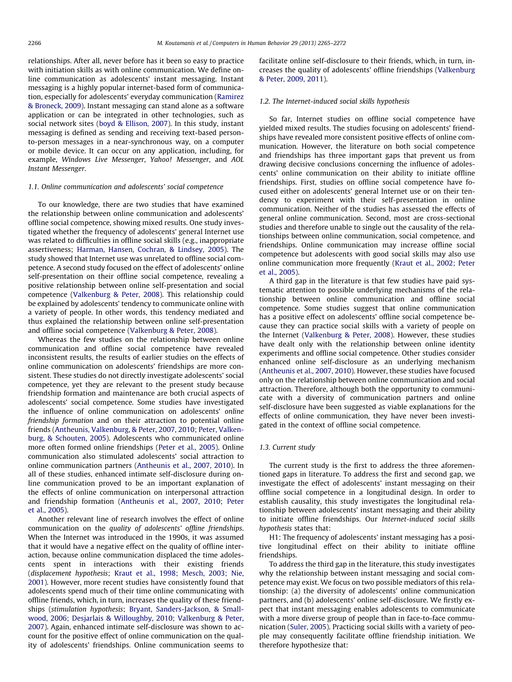relationships. After all, never before has it been so easy to practice with initiation skills as with online communication. We define online communication as adolescents' instant messaging. Instant messaging is a highly popular internet-based form of communication, especially for adolescents' everyday communication ([Ramirez](#page-7-0) [& Broneck, 2009](#page-7-0)). Instant messaging can stand alone as a software application or can be integrated in other technologies, such as social network sites [\(boyd & Ellison, 2007](#page-6-0)). In this study, instant messaging is defined as sending and receiving text-based personto-person messages in a near-synchronous way, on a computer or mobile device. It can occur on any application, including, for example, Windows Live Messenger, Yahoo! Messenger, and AOL Instant Messenger.

#### 1.1. Online communication and adolescents' social competence

To our knowledge, there are two studies that have examined the relationship between online communication and adolescents' offline social competence, showing mixed results. One study investigated whether the frequency of adolescents' general Internet use was related to difficulties in offline social skills (e.g., inappropriate assertiveness; [Harman, Hansen, Cochran, & Lindsey, 2005\)](#page-6-0). The study showed that Internet use was unrelated to offline social competence. A second study focused on the effect of adolescents' online self-presentation on their offline social competence, revealing a positive relationship between online self-presentation and social competence [\(Valkenburg & Peter, 2008\)](#page-7-0). This relationship could be explained by adolescents' tendency to communicate online with a variety of people. In other words, this tendency mediated and thus explained the relationship between online self-presentation and offline social competence [\(Valkenburg & Peter, 2008\)](#page-7-0).

Whereas the few studies on the relationship between online communication and offline social competence have revealed inconsistent results, the results of earlier studies on the effects of online communication on adolescents' friendships are more consistent. These studies do not directly investigate adolescents' social competence, yet they are relevant to the present study because friendship formation and maintenance are both crucial aspects of adolescents' social competence. Some studies have investigated the influence of online communication on adolescents' online friendship formation and on their attraction to potential online friends [\(Antheunis, Valkenburg, & Peter, 2007, 2010; Peter, Valken](#page-6-0)[burg, & Schouten, 2005\)](#page-6-0). Adolescents who communicated online more often formed online friendships ([Peter et al., 2005\)](#page-7-0). Online communication also stimulated adolescents' social attraction to online communication partners ([Antheunis et al., 2007, 2010](#page-6-0)). In all of these studies, enhanced intimate self-disclosure during online communication proved to be an important explanation of the effects of online communication on interpersonal attraction and friendship formation ([Antheunis et al., 2007, 2010; Peter](#page-6-0) [et al., 2005\)](#page-6-0).

Another relevant line of research involves the effect of online communication on the quality of adolescents' offline friendships. When the Internet was introduced in the 1990s, it was assumed that it would have a negative effect on the quality of offline interaction, because online communication displaced the time adolescents spent in interactions with their existing friends (displacement hypothesis; [Kraut et al., 1998; Mesch, 2003; Nie,](#page-7-0) [2001\)](#page-7-0). However, more recent studies have consistently found that adolescents spend much of their time online communicating with offline friends, which, in turn, increases the quality of these friendships (stimulation hypothesis; [Bryant, Sanders-Jackson, & Small](#page-6-0)[wood, 2006; Desjarlais & Willoughby, 2010; Valkenburg & Peter,](#page-6-0) [2007\)](#page-6-0). Again, enhanced intimate self-disclosure was shown to account for the positive effect of online communication on the quality of adolescents' friendships. Online communication seems to facilitate online self-disclosure to their friends, which, in turn, increases the quality of adolescents' offline friendships [\(Valkenburg](#page-7-0) [& Peter, 2009, 2011](#page-7-0)).

#### 1.2. The Internet-induced social skills hypothesis

So far, Internet studies on offline social competence have yielded mixed results. The studies focusing on adolescents' friendships have revealed more consistent positive effects of online communication. However, the literature on both social competence and friendships has three important gaps that prevent us from drawing decisive conclusions concerning the influence of adolescents' online communication on their ability to initiate offline friendships. First, studies on offline social competence have focused either on adolescents' general Internet use or on their tendency to experiment with their self-presentation in online communication. Neither of the studies has assessed the effects of general online communication. Second, most are cross-sectional studies and therefore unable to single out the causality of the relationships between online communication, social competence, and friendships. Online communication may increase offline social competence but adolescents with good social skills may also use online communication more frequently ([Kraut et al., 2002; Peter](#page-7-0) [et al., 2005\)](#page-7-0).

A third gap in the literature is that few studies have paid systematic attention to possible underlying mechanisms of the relationship between online communication and offline social competence. Some studies suggest that online communication has a positive effect on adolescents' offline social competence because they can practice social skills with a variety of people on the Internet [\(Valkenburg & Peter, 2008](#page-7-0)). However, these studies have dealt only with the relationship between online identity experiments and offline social competence. Other studies consider enhanced online self-disclosure as an underlying mechanism ([Antheunis et al., 2007, 2010\)](#page-6-0). However, these studies have focused only on the relationship between online communication and social attraction. Therefore, although both the opportunity to communicate with a diversity of communication partners and online self-disclosure have been suggested as viable explanations for the effects of online communication, they have never been investigated in the context of offline social competence.

#### 1.3. Current study

The current study is the first to address the three aforementioned gaps in literature. To address the first and second gap, we investigate the effect of adolescents' instant messaging on their offline social competence in a longitudinal design. In order to establish causality, this study investigates the longitudinal relationship between adolescents' instant messaging and their ability to initiate offline friendships. Our Internet-induced social skills hypothesis states that:

H1: The frequency of adolescents' instant messaging has a positive longitudinal effect on their ability to initiate offline friendships.

To address the third gap in the literature, this study investigates why the relationship between instant messaging and social competence may exist. We focus on two possible mediators of this relationship: (a) the diversity of adolescents' online communication partners, and (b) adolescents' online self-disclosure. We firstly expect that instant messaging enables adolescents to communicate with a more diverse group of people than in face-to-face communication ([Suler, 2005\)](#page-7-0). Practicing social skills with a variety of people may consequently facilitate offline friendship initiation. We therefore hypothesize that: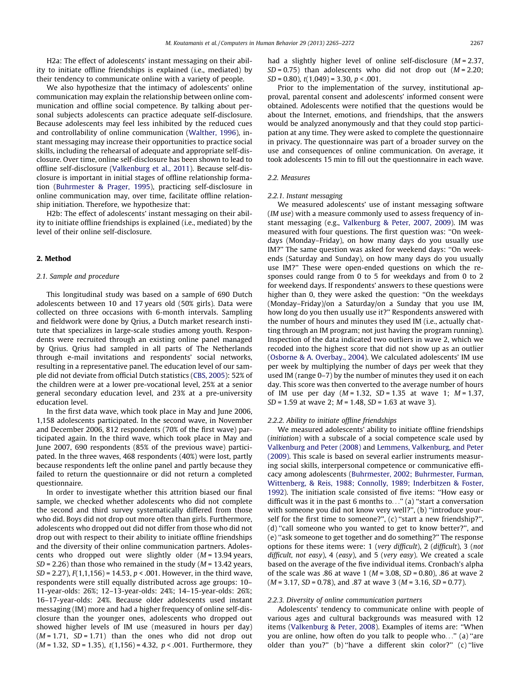H2a: The effect of adolescents' instant messaging on their ability to initiate offline friendships is explained (i.e., mediated) by their tendency to communicate online with a variety of people.

We also hypothesize that the intimacy of adolescents' online communication may explain the relationship between online communication and offline social competence. By talking about personal subjects adolescents can practice adequate self-disclosure. Because adolescents may feel less inhibited by the reduced cues and controllability of online communication ([Walther, 1996\)](#page-7-0), instant messaging may increase their opportunities to practice social skills, including the rehearsal of adequate and appropriate self-disclosure. Over time, online self-disclosure has been shown to lead to offline self-disclosure ([Valkenburg et al., 2011\)](#page-7-0). Because self-disclosure is important in initial stages of offline relationship formation [\(Buhrmester & Prager, 1995\)](#page-6-0), practicing self-disclosure in online communication may, over time, facilitate offline relationship initiation. Therefore, we hypothesize that:

H2b: The effect of adolescents' instant messaging on their ability to initiate offline friendships is explained (i.e., mediated) by the level of their online self-disclosure.

#### 2. Method

# 2.1. Sample and procedure

This longitudinal study was based on a sample of 690 Dutch adolescents between 10 and 17 years old (50% girls). Data were collected on three occasions with 6-month intervals. Sampling and fieldwork were done by Qrius, a Dutch market research institute that specializes in large-scale studies among youth. Respondents were recruited through an existing online panel managed by Qrius. Qrius had sampled in all parts of The Netherlands through e-mail invitations and respondents' social networks, resulting in a representative panel. The education level of our sample did not deviate from official Dutch statistics ([CBS, 2005\)](#page-6-0): 52% of the children were at a lower pre-vocational level, 25% at a senior general secondary education level, and 23% at a pre-university education level.

In the first data wave, which took place in May and June 2006, 1,158 adolescents participated. In the second wave, in November and December 2006, 812 respondents (70% of the first wave) participated again. In the third wave, which took place in May and June 2007, 690 respondents (85% of the previous wave) participated. In the three waves, 468 respondents (40%) were lost, partly because respondents left the online panel and partly because they failed to return the questionnaire or did not return a completed questionnaire.

In order to investigate whether this attrition biased our final sample, we checked whether adolescents who did not complete the second and third survey systematically differed from those who did. Boys did not drop out more often than girls. Furthermore, adolescents who dropped out did not differ from those who did not drop out with respect to their ability to initiate offline friendships and the diversity of their online communication partners. Adolescents who dropped out were slightly older  $(M = 13.94 \text{ years},$  $SD = 2.26$ ) than those who remained in the study ( $M = 13.42$  years, SD = 2.27),  $F(1,1,156) = 14.53$ ,  $p < .001$ . However, in the third wave, respondents were still equally distributed across age groups: 10– 11-year-olds: 26%; 12–13-year-olds: 24%; 14–15-year-olds: 26%; 16–17-year-olds: 24%. Because older adolescents used instant messaging (IM) more and had a higher frequency of online self-disclosure than the younger ones, adolescents who dropped out showed higher levels of IM use (measured in hours per day)  $(M = 1.71, SD = 1.71)$  than the ones who did not drop out  $(M = 1.32, SD = 1.35), t(1,156) = 4.32, p < .001.$  Furthermore, they had a slightly higher level of online self-disclosure  $(M = 2.37)$ .  $SD = 0.75$ ) than adolescents who did not drop out  $(M = 2.20)$ ;  $SD = 0.80$ ,  $t(1.049) = 3.30$ ,  $p < .001$ .

Prior to the implementation of the survey, institutional approval, parental consent and adolescents' informed consent were obtained. Adolescents were notified that the questions would be about the Internet, emotions, and friendships, that the answers would be analyzed anonymously and that they could stop participation at any time. They were asked to complete the questionnaire in privacy. The questionnaire was part of a broader survey on the use and consequences of online communication. On average, it took adolescents 15 min to fill out the questionnaire in each wave.

#### 2.2. Measures

#### 2.2.1. Instant messaging

We measured adolescents' use of instant messaging software (IM use) with a measure commonly used to assess frequency of instant messaging (e.g., [Valkenburg & Peter, 2007, 2009\)](#page-7-0). IM was measured with four questions. The first question was: ''On weekdays (Monday–Friday), on how many days do you usually use IM?'' The same question was asked for weekend days: ''On weekends (Saturday and Sunday), on how many days do you usually use IM?'' These were open-ended questions on which the responses could range from 0 to 5 for weekdays and from 0 to 2 for weekend days. If respondents' answers to these questions were higher than 0, they were asked the question: ''On the weekdays (Monday–Friday)/on a Saturday/on a Sunday that you use IM, how long do you then usually use it?'' Respondents answered with the number of hours and minutes they used IM (i.e., actually chatting through an IM program; not just having the program running). Inspection of the data indicated two outliers in wave 2, which we recoded into the highest score that did not show up as an outlier ([Osborne & A. Overbay., 2004](#page-7-0)). We calculated adolescents' IM use per week by multiplying the number of days per week that they used IM (range 0–7) by the number of minutes they used it on each day. This score was then converted to the average number of hours of IM use per day  $(M = 1.32, SD = 1.35$  at wave 1;  $M = 1.37$ ,  $SD = 1.59$  at wave 2;  $M = 1.48$ ,  $SD = 1.63$  at wave 3).

#### 2.2.2. Ability to initiate offline friendships

We measured adolescents' ability to initiate offline friendships (initiation) with a subscale of a social competence scale used by [Valkenburg and Peter \(2008\)](#page-7-0) and [Lemmens, Valkenburg, and Peter](#page-7-0) [\(2009\)](#page-7-0). This scale is based on several earlier instruments measuring social skills, interpersonal competence or communicative efficacy among adolescents [\(Buhrmester, 2002; Buhrmester, Furman,](#page-6-0) [Wittenberg, & Reis, 1988; Connolly, 1989; Inderbitzen & Foster,](#page-6-0) [1992\)](#page-6-0). The initiation scale consisted of five items: ''How easy or difficult was it in the past 6 months to...'' (a) ''start a conversation with someone you did not know very well?", (b) "introduce yourself for the first time to someone?", (c) "start a new friendship?", (d) ''call someone who you wanted to get to know better?'', and (e) ''ask someone to get together and do something?'' The response options for these items were: 1 (very difficult), 2 (difficult), 3 (not difficult, not easy), 4 (easy), and 5 (very easy). We created a scale based on the average of the five individual items. Cronbach's alpha of the scale was .86 at wave 1 ( $M = 3.08$ ,  $SD = 0.80$ ), .86 at wave 2  $(M = 3.17, SD = 0.78)$ , and .87 at wave 3  $(M = 3.16, SD = 0.77)$ .

#### 2.2.3. Diversity of online communication partners

Adolescents' tendency to communicate online with people of various ages and cultural backgrounds was measured with 12 items ([Valkenburg & Peter, 2008\)](#page-7-0). Examples of items are: ''When you are online, how often do you talk to people who...'' (a) ''are older than you?'' (b) ''have a different skin color?'' (c) ''live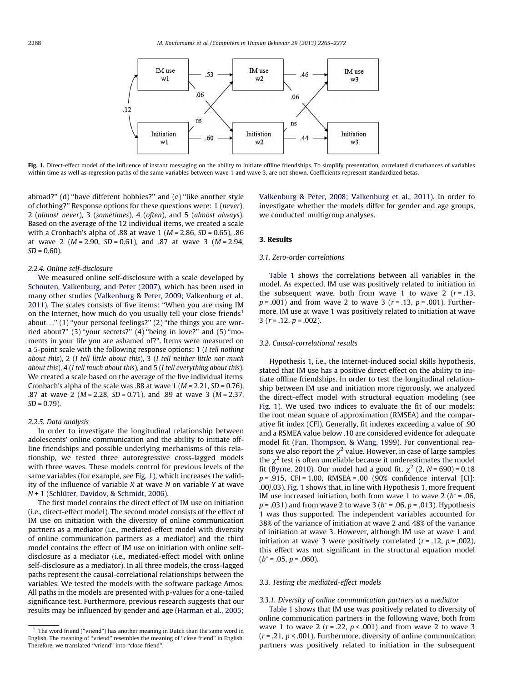

Fig. 1. Direct-effect model of the influence of instant messaging on the ability to initiate offline friendships. To simplify presentation, correlated disturbances of variables within time as well as regression paths of the same variables between wave 1 and wave 3, are not shown. Coefficients represent standardized betas.

abroad?'' (d) ''have different hobbies?'' and (e) ''like another style of clothing?'' Response options for these questions were: 1 (never), 2 (almost never), 3 (sometimes), 4 (often), and 5 (almost always). Based on the average of the 12 individual items, we created a scale with a Cronbach's alpha of .88 at wave  $1 (M = 2.86, SD = 0.65)$ , .86 at wave 2 ( $M = 2.90$ ,  $SD = 0.61$ ), and .87 at wave 3 ( $M = 2.94$ ,  $SD = 0.60$ ).

#### 2.2.4. Online self-disclosure

We measured online self-disclosure with a scale developed by [Schouten, Valkenburg, and Peter \(2007\)](#page-7-0), which has been used in many other studies ([Valkenburg & Peter, 2009; Valkenburg et al.,](#page-7-0) [2011\)](#page-7-0). The scales consists of five items: ''When you are using IM on the Internet, how much do you usually tell your close friends<sup>1</sup> about..." (1) "your personal feelings?" (2) "the things you are worried about?" (3) "your secrets?" (4) "being in love?" and (5) "moments in your life you are ashamed of?''. Items were measured on a 5-point scale with the following response options: 1 (I tell nothing about this), 2 (I tell little about this), 3 (I tell neither little nor much about this), 4 (I tell much about this), and 5 (I tell everything about this). We created a scale based on the average of the five individual items. Cronbach's alpha of the scale was .88 at wave 1 ( $M = 2.21$ ,  $SD = 0.76$ ), .87 at wave 2 ( $M = 2.28$ ,  $SD = 0.71$ ), and .89 at wave 3 ( $M = 2.37$ ,  $SD = 0.79$ ).

#### 2.2.5. Data analysis

In order to investigate the longitudinal relationship between adolescents' online communication and the ability to initiate offline friendships and possible underlying mechanisms of this relationship, we tested three autoregressive cross-lagged models with three waves. These models control for previous levels of the same variables (for example, see Fig. 1), which increases the validity of the influence of variable  $X$  at wave  $N$  on variable  $Y$  at wave N +1[\(Schlüter, Davidov, & Schmidt, 2006](#page-7-0)).

The first model contains the direct effect of IM use on initiation (i.e., direct-effect model). The second model consists of the effect of IM use on initiation with the diversity of online communication partners as a mediator (i.e., mediated-effect model with diversity of online communication partners as a mediator) and the third model contains the effect of IM use on initiation with online selfdisclosure as a mediator (i.e., mediated-effect model with online self-disclosure as a mediator). In all three models, the cross-lagged paths represent the causal-correlational relationships between the variables. We tested the models with the software package Amos. All paths in the models are presented with  $p$ -values for a one-tailed significance test. Furthermore, previous research suggests that our results may be influenced by gender and age ([Harman et al., 2005;](#page-6-0) [Valkenburg & Peter, 2008; Valkenburg et al., 2011\)](#page-6-0). In order to investigate whether the models differ for gender and age groups, we conducted multigroup analyses.

#### 3. Results

# 3.1. Zero-order correlations

[Table 1](#page-4-0) shows the correlations between all variables in the model. As expected, IM use was positively related to initiation in the subsequent wave, both from wave 1 to wave 2  $(r=.13, ...)$  $p = .001$ ) and from wave 2 to wave 3 ( $r = .13$ ,  $p = .001$ ). Furthermore, IM use at wave 1 was positively related to initiation at wave 3 ( $r = .12$ ,  $p = .002$ ).

# 3.2. Causal-correlational results

Hypothesis 1, i.e., the Internet-induced social skills hypothesis, stated that IM use has a positive direct effect on the ability to initiate offline friendships. In order to test the longitudinal relationship between IM use and initiation more rigorously, we analyzed the direct-effect model with structural equation modeling (see Fig. 1). We used two indices to evaluate the fit of our models: the root mean square of approximation (RMSEA) and the comparative fit index (CFI). Generally, fit indexes exceeding a value of .90 and a RSMEA value below .10 are considered evidence for adequate model fit [\(Fan, Thompson, & Wang, 1999\)](#page-6-0). For conventional reasons we also report the  $\chi^2$  value. However, in case of large samples the  $\chi^2$  test is often unreliable because it underestimates the model fit ([Byrne, 2010\)](#page-6-0). Our model had a good fit,  $\chi^2$  (2, N = 690) = 0.18  $p = .915$ , CFI = 1.00, RMSEA = .00 (90% confidence interval [CI]: .00/.03). Fig. 1 shows that, in line with Hypothesis 1, more frequent IM use increased initiation, both from wave 1 to wave 2 ( $b^* = .06$ ,  $p = .031$ ) and from wave 2 to wave 3 ( $b^* = .06$ ,  $p = .013$ ). Hypothesis 1 was thus supported. The independent variables accounted for 38% of the variance of initiation at wave 2 and 48% of the variance of initiation at wave 3. However, although IM use at wave 1 and initiation at wave 3 were positively correlated  $(r = .12, p = .002)$ , this effect was not significant in the structural equation model  $(b^* = .05, p = .060).$ 

### 3.3. Testing the mediated-effect models

#### 3.3.1. Diversity of online communication partners as a mediator

[Table 1](#page-4-0) shows that IM use was positively related to diversity of online communication partners in the following wave, both from wave 1 to wave 2 ( $r = 0.22$ ,  $p < 0.001$ ) and from wave 2 to wave 3  $(r = .21, p < .001)$ . Furthermore, diversity of online communication partners was positively related to initiation in the subsequent

 $^{\rm 1}$  The word friend ("vriend") has another meaning in Dutch than the same word in English. The meaning of ''vriend'' resembles the meaning of ''close friend'' in English. Therefore, we translated ''vriend'' into ''close friend''.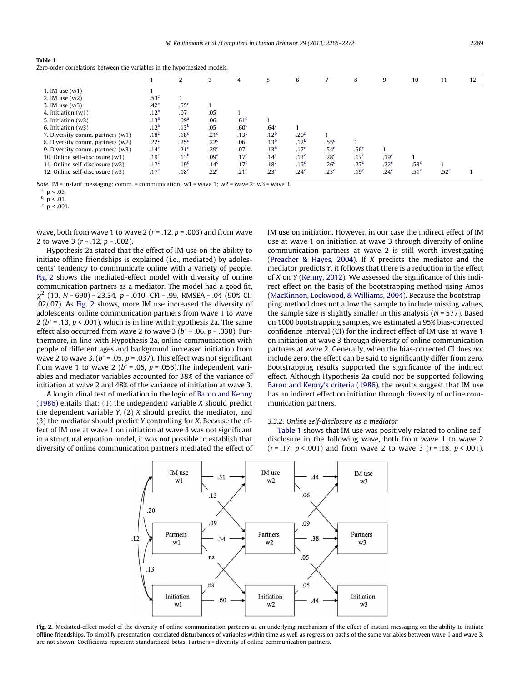#### <span id="page-4-0"></span>Table 1

Zero-order correlations between the variables in the hypothesized models.

|                                  |                  | ำ                |                  | 4                | 5                | 6                |                  | 8                | 9                | 10               | 11               | 12 |
|----------------------------------|------------------|------------------|------------------|------------------|------------------|------------------|------------------|------------------|------------------|------------------|------------------|----|
| 1. IM use $(w1)$                 |                  |                  |                  |                  |                  |                  |                  |                  |                  |                  |                  |    |
| 2. IM use $(w2)$                 | .53 <sup>c</sup> |                  |                  |                  |                  |                  |                  |                  |                  |                  |                  |    |
| 3. IM use (w3)                   | .42 <sup>c</sup> | .55 <sup>c</sup> |                  |                  |                  |                  |                  |                  |                  |                  |                  |    |
| 4. Initiation $(w1)$             | .12 <sup>b</sup> | .07              | .05              |                  |                  |                  |                  |                  |                  |                  |                  |    |
| 5. Initiation (w2)               | .13 <sup>b</sup> | .09 <sup>a</sup> | .06              | .61 <sup>c</sup> |                  |                  |                  |                  |                  |                  |                  |    |
| 6. Initiation $(w3)$             | .12 <sup>b</sup> | .13 <sup>b</sup> | .05              | .60 <sup>c</sup> | .64 <sup>c</sup> |                  |                  |                  |                  |                  |                  |    |
| 7. Diversity comm. partners (w1) | .18 <sup>c</sup> | .18 <sup>c</sup> | .21 <sup>c</sup> | .13 <sup>b</sup> | .12 <sup>b</sup> | .20 <sup>c</sup> |                  |                  |                  |                  |                  |    |
| 8. Diversity comm. partners (w2) | .22 <sup>c</sup> | .25 <sup>c</sup> | .22 <sup>c</sup> | .06              | .13 <sup>b</sup> | .12 <sup>b</sup> | .55 <sup>c</sup> |                  |                  |                  |                  |    |
| 9. Diversity comm. partners (w3) | .14 <sup>c</sup> | .21 <sup>c</sup> | .29 <sup>c</sup> | .07              | .13 <sup>b</sup> | .17 <sup>c</sup> | .54 <sup>c</sup> | .56 <sup>c</sup> |                  |                  |                  |    |
| 10. Online self-disclosure (w1)  | .19 <sup>c</sup> | .13 <sup>b</sup> | .09 <sup>a</sup> | .17 <sup>c</sup> | .14 <sup>c</sup> | .13 <sup>c</sup> | .28 <sup>c</sup> | .17 <sup>c</sup> | .19 <sup>c</sup> |                  |                  |    |
| 11. Online self-disclosure (w2)  | .17 <sup>c</sup> | .19 <sup>c</sup> | .14 <sup>c</sup> | .17 <sup>c</sup> | .18 <sup>c</sup> | .15 <sup>c</sup> | .26 <sup>c</sup> | .27 <sup>c</sup> | .22 <sup>c</sup> | .53 <sup>c</sup> |                  |    |
| 12. Online self-disclosure (w3)  | .17 <sup>c</sup> | .18 <sup>c</sup> | .22 <sup>c</sup> | .21 <sup>c</sup> | .23 <sup>c</sup> | .24 <sup>c</sup> | .23 <sup>c</sup> | .19 <sup>c</sup> | .24 <sup>c</sup> | .51 <sup>c</sup> | .52 <sup>c</sup> |    |
|                                  |                  |                  |                  |                  |                  |                  |                  |                  |                  |                  |                  |    |

Note. IM = instant messaging; comm. = communication;  $w1$  = wave 1;  $w2$  = wave 2;  $w3$  = wave 3.

 $a$  p < .05.

 $^{\rm b}$   $\frac{1}{\rm p}$  < .01.

 $\frac{c}{p}$  < .001.

wave, both from wave 1 to wave 2 ( $r = .12$ ,  $p = .003$ ) and from wave 2 to wave 3 ( $r = .12$ ,  $p = .002$ ).

Hypothesis 2a stated that the effect of IM use on the ability to initiate offline friendships is explained (i.e., mediated) by adolescents' tendency to communicate online with a variety of people. Fig. 2 shows the mediated-effect model with diversity of online communication partners as a mediator. The model had a good fit,  $\gamma^2$  (10, N = 690) = 23.34, p = .010, CFI = .99, RMSEA = .04 (90% CI: .02/.07). As Fig. 2 shows, more IM use increased the diversity of adolescents' online communication partners from wave 1 to wave  $2(b^* = .13, p < .001)$ , which is in line with Hypothesis 2a. The same effect also occurred from wave 2 to wave 3 ( $b^* = .06$ ,  $p = .038$ ). Furthermore, in line with Hypothesis 2a, online communication with people of different ages and background increased initiation from wave 2 to wave 3,  $(b^* = .05, p = .037)$ . This effect was not significant from wave 1 to wave 2 ( $b^*$  = .05, p = .056). The independent variables and mediator variables accounted for 38% of the variance of initiation at wave 2 and 48% of the variance of initiation at wave 3.

A longitudinal test of mediation in the logic of [Baron and Kenny](#page-6-0) [\(1986\)](#page-6-0) entails that: (1) the independent variable  $X$  should predict the dependent variable Y, (2) X should predict the mediator, and (3) the mediator should predict Y controlling for X. Because the effect of IM use at wave 1 on initiation at wave 3 was not significant in a structural equation model, it was not possible to establish that diversity of online communication partners mediated the effect of IM use on initiation. However, in our case the indirect effect of IM use at wave 1 on initiation at wave 3 through diversity of online communication partners at wave 2 is still worth investigating ([Preacher & Hayes, 2004\)](#page-7-0). If X predicts the mediator and the mediator predicts Y, it follows that there is a reduction in the effect of X on Y [\(Kenny, 2012\)](#page-7-0). We assessed the significance of this indirect effect on the basis of the bootstrapping method using Amos ([MacKinnon, Lockwood, & Williams, 2004\)](#page-7-0). Because the bootstrapping method does not allow the sample to include missing values, the sample size is slightly smaller in this analysis  $(N = 577)$ . Based on 1000 bootstrapping samples, we estimated a 95% bias-corrected confidence interval (CI) for the indirect effect of IM use at wave 1 on initiation at wave 3 through diversity of online communication partners at wave 2. Generally, when the bias-corrected CI does not include zero, the effect can be said to significantly differ from zero. Bootstrapping results supported the significance of the indirect effect. Although Hypothesis 2a could not be supported following [Baron and Kenny's criteria \(1986\)](#page-6-0), the results suggest that IM use has an indirect effect on initiation through diversity of online communication partners.

#### 3.3.2. Online self-disclosure as a mediator

Table 1 shows that IM use was positively related to online selfdisclosure in the following wave, both from wave 1 to wave 2  $(r = .17, p < .001)$  and from wave 2 to wave 3  $(r = .18, p < .001)$ .



Fig. 2. Mediated-effect model of the diversity of online communication partners as an underlying mechanism of the effect of instant messaging on the ability to initiate offline friendships. To simplify presentation, correlated disturbances of variables within time as well as regression paths of the same variables between wave 1 and wave 3, are not shown. Coefficients represent standardized betas. Partners = diversity of online communication partners.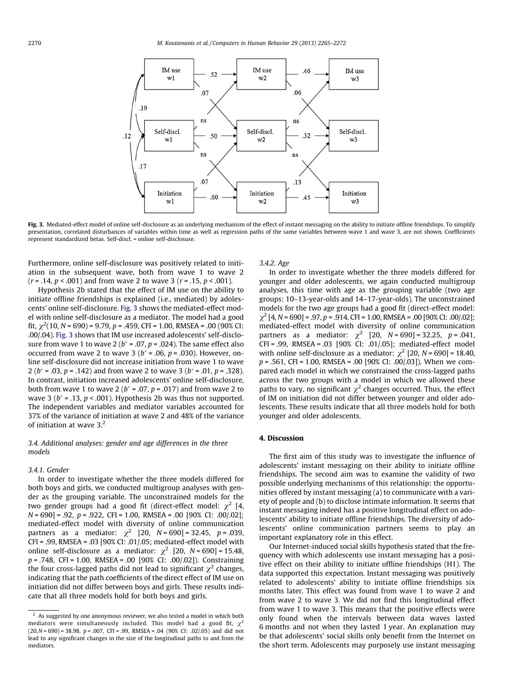

Fig. 3. Mediated-effect model of online self-disclosure as an underlying mechanism of the effect of instant messaging on the ability to initiate offline friendships. To simplify presentation, correlated disturbances of variables within time as well as regression paths of the same variables between wave 1 and wave 3, are not shown. Coefficients represent standardized betas. Self-discl. = online self-disclosure.

Furthermore, online self-disclosure was positively related to initiation in the subsequent wave, both from wave 1 to wave 2  $(r = .14, p < .001)$  and from wave 2 to wave 3  $(r = .15, p < .001)$ .

Hypothesis 2b stated that the effect of IM use on the ability to initiate offline friendships is explained (i.e., mediated) by adolescents' online self-disclosure. Fig. 3 shows the mediated-effect model with online self-disclosure as a mediator. The model had a good fit,  $\chi^2(10, N = 690) = 9.79$ ,  $p = .459$ , CFI = 1.00, RMSEA = .00 (90% CI: .00/.04). Fig. 3 shows that IM use increased adolescents' self-disclosure from wave 1 to wave 2 ( $b^*$  = .07,  $p$  = .024). The same effect also occurred from wave 2 to wave 3 ( $b^*$  = .06, p = .030). However, online self-disclosure did not increase initiation from wave 1 to wave  $2 (b^* = .03, p = .142)$  and from wave 2 to wave 3 ( $b^* = .01, p = .328$ ). In contrast, initiation increased adolescents' online self-disclosure, both from wave 1 to wave 2 ( $b^*$  = .07,  $p$  = .017) and from wave 2 to wave 3 ( $b^*$  = .13,  $p < .001$ ). Hypothesis 2b was thus not supported. The independent variables and mediator variables accounted for 37% of the variance of initiation at wave 2 and 48% of the variance of initiation at wave 3.2

# 3.4. Additional analyses: gender and age differences in the three models

#### 3.4.1. Gender

In order to investigate whether the three models differed for both boys and girls, we conducted multigroup analyses with gender as the grouping variable. The unconstrained models for the two gender groups had a good fit (direct-effect model:  $\chi^2$  [4,  $N = 690$ ] = .92,  $p = .922$ , CFI = 1.00, RMSEA = .00 [90% CI: .00/.02]; mediated-effect model with diversity of online communication partners as a mediator:  $\chi^2$  [20, N = 690] = 32.45, p = .039, CFI = .99, RMSEA = .03 [90% CI: .01/.05; mediated-effect model with online self-disclosure as a mediator:  $\chi^2$  [20, N = 690] = 15.48,  $p = .748$ , CFI = 1.00, RMSEA = .00 [90% CI: .00/.02]). Constraining the four cross-lagged paths did not lead to significant  $\chi^2$  changes, indicating that the path coefficients of the direct effect of IM use on initiation did not differ between boys and girls. These results indicate that all three models hold for both boys and girls.

3.4.2. Age

In order to investigate whether the three models differed for younger and older adolescents, we again conducted multigroup analyses, this time with age as the grouping variable (two age groups: 10–13-year-olds and 14–17-year-olds). The unconstrained models for the two age groups had a good fit (direct-effect model:  $\chi^2$  [4, N = 690] = .97, p = .914, CFI = 1.00, RMSEA = .00 [90% CI: .00/.02]; mediated-effect model with diversity of online communication partners as a mediator:  $\chi^2$  [20, N = 690] = 32.25, p = .041, CFI = .99, RMSEA = .03 [90% CI: .01/.05]; mediated-effect model with online self-disclosure as a mediator:  $\chi^2$  [20, N = 690] = 18.40,  $p = .561$ , CFI = 1.00, RMSEA = .00 [90% CI: .00/.03]). When we compared each model in which we constrained the cross-lagged paths across the two groups with a model in which we allowed these paths to vary, no significant  $\chi^2$  changes occurred. Thus, the effect of IM on initiation did not differ between younger and older adolescents. These results indicate that all three models hold for both younger and older adolescents.

# 4. Discussion

The first aim of this study was to investigate the influence of adolescents' instant messaging on their ability to initiate offline friendships. The second aim was to examine the validity of two possible underlying mechanisms of this relationship: the opportunities offered by instant messaging (a) to communicate with a variety of people and (b) to disclose intimate information. It seems that instant messaging indeed has a positive longitudinal effect on adolescents' ability to initiate offline friendships. The diversity of adolescents' online communication partners seems to play an important explanatory role in this effect.

Our Internet-induced social skills hypothesis stated that the frequency with which adolescents use instant messaging has a positive effect on their ability to initiate offline friendships (H1). The data supported this expectation. Instant messaging was positively related to adolescents' ability to initiate offline friendships six months later. This effect was found from wave 1 to wave 2 and from wave 2 to wave 3. We did not find this longitudinal effect from wave 1 to wave 3. This means that the positive effects were only found when the intervals between data waves lasted 6 months and not when they lasted 1 year. An explanation may be that adolescents' social skills only benefit from the Internet on the short term. Adolescents may purposely use instant messaging

 $2$  As suggested by one anonymous reviewer, we also tested a model in which both mediators were simultaneously included. This model had a good fit,  $y^2$  $(20, N = 690) = 38.98$ ,  $p = .007$ , CFI = .99, RMSEA = .04 (90% CI: .02/.05) and did not lead to any significant changes in the size of the longitudinal paths to and from the mediators.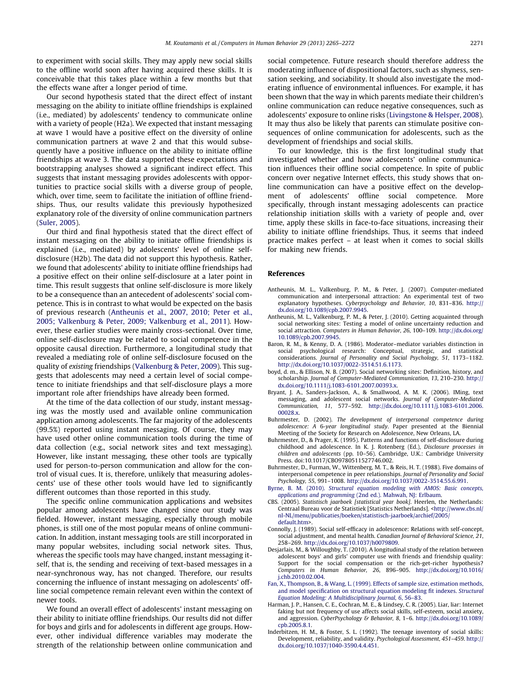<span id="page-6-0"></span>to experiment with social skills. They may apply new social skills to the offline world soon after having acquired these skills. It is conceivable that this takes place within a few months but that the effects wane after a longer period of time.

Our second hypothesis stated that the direct effect of instant messaging on the ability to initiate offline friendships is explained (i.e., mediated) by adolescents' tendency to communicate online with a variety of people (H2a). We expected that instant messaging at wave 1 would have a positive effect on the diversity of online communication partners at wave 2 and that this would subsequently have a positive influence on the ability to initiate offline friendships at wave 3. The data supported these expectations and bootstrapping analyses showed a significant indirect effect. This suggests that instant messaging provides adolescents with opportunities to practice social skills with a diverse group of people, which, over time, seem to facilitate the initiation of offline friendships. Thus, our results validate this previously hypothesized explanatory role of the diversity of online communication partners ([Suler, 2005](#page-7-0)).

Our third and final hypothesis stated that the direct effect of instant messaging on the ability to initiate offline friendships is explained (i.e., mediated) by adolescents' level of online selfdisclosure (H2b). The data did not support this hypothesis. Rather, we found that adolescents' ability to initiate offline friendships had a positive effect on their online self-disclosure at a later point in time. This result suggests that online self-disclosure is more likely to be a consequence than an antecedent of adolescents' social competence. This is in contrast to what would be expected on the basis of previous research (Antheunis et al., 2007, 2010; Peter et al., 2005; Valkenburg & Peter, 2009; Valkenburg et al., 2011). However, these earlier studies were mainly cross-sectional. Over time, online self-disclosure may be related to social competence in the opposite causal direction. Furthermore, a longitudinal study that revealed a mediating role of online self-disclosure focused on the quality of existing friendships [\(Valkenburg & Peter, 2009\)](#page-7-0). This suggests that adolescents may need a certain level of social competence to initiate friendships and that self-disclosure plays a more important role after friendships have already been formed.

At the time of the data collection of our study, instant messaging was the mostly used and available online communication application among adolescents. The far majority of the adolescents (99.5%) reported using instant messaging. Of course, they may have used other online communication tools during the time of data collection (e.g., social network sites and text messaging). However, like instant messaging, these other tools are typically used for person-to-person communication and allow for the control of visual cues. It is, therefore, unlikely that measuring adolescents' use of these other tools would have led to significantly different outcomes than those reported in this study.

The specific online communication applications and websites popular among adolescents have changed since our study was fielded. However, instant messaging, especially through mobile phones, is still one of the most popular means of online communication. In addition, instant messaging tools are still incorporated in many popular websites, including social network sites. Thus, whereas the specific tools may have changed, instant messaging itself, that is, the sending and receiving of text-based messages in a near-synchronous way, has not changed. Therefore, our results concerning the influence of instant messaging on adolescents' offline social competence remain relevant even within the context of newer tools.

We found an overall effect of adolescents' instant messaging on their ability to initiate offline friendships. Our results did not differ for boys and girls and for adolescents in different age groups. However, other individual difference variables may moderate the strength of the relationship between online communication and social competence. Future research should therefore address the moderating influence of dispositional factors, such as shyness, sensation seeking, and sociability. It should also investigate the moderating influence of environmental influences. For example, it has been shown that the way in which parents mediate their children's online communication can reduce negative consequences, such as adolescents' exposure to online risks [\(Livingstone & Helsper, 2008\)](#page-7-0). It may thus also be likely that parents can stimulate positive consequences of online communication for adolescents, such as the development of friendships and social skills.

To our knowledge, this is the first longitudinal study that investigated whether and how adolescents' online communication influences their offline social competence. In spite of public concern over negative Internet effects, this study shows that online communication can have a positive effect on the development of adolescents' offline social competence. More specifically, through instant messaging adolescents can practice relationship initiation skills with a variety of people and, over time, apply these skills in face-to-face situations, increasing their ability to initiate offline friendships. Thus, it seems that indeed practice makes perfect – at least when it comes to social skills for making new friends.

#### References

- Antheunis, M. L., Valkenburg, P. M., & Peter, J. (2007). Computer-mediated communication and interpersonal attraction: An experimental test of two explanatory hypotheses. Cyberpsychology and Behavior, 10, 831–836. http:// dx.doi.org/[10.1089/cpb.2007.9945.](http://dx.doi.org/10.1089/cpb.2007.9945)
- Antheunis, M. L., Valkenburg, P. M., & Peter, J. (2010). Getting acquainted through social networking sites: Testing a model of online uncertainty reduction and social attraction. Computers in Human Behavior, 26, 100–109. http://dx.doi.org/ [10.1089/cpb.2007.9945.](http://dx.doi.org/10.1089/cpb.2007.9945)
- Baron, R. M., & Kenny, D. A. (1986). Moderator–mediator variables distinction in social psychological research: Conceptual, strategic, and statistical considerations. Journal of Personality and Social Psychology, 51, 1173–1182. http://dx.doi.org/[10.1037/0022-3514.51.6.1173.](http://dx.doi.org/10.1037/0022-3514.51.6.1173)
- boyd, d. m., & Ellison, N. B. (2007). Social networking sites: Definition, history, and scholarship. Journal of Computer-Mediated Communication, 13, 210–230. http:// dx.doi.org/[10.1111/j.1083-6101.2007.00393.x.](http://dx.doi.org/10.1111/j.1083-6101.2007.00393.x)
- Bryant, J. A., Sanders-Jackson, A., & Smallwood, A. M. K. (2006). IMing, text messaging, and adolescent social networks. Journal of Computer-Mediated Communication, 11, 577–592. http://dx.doi.org/[10.1111/j.1083-6101.2006.](http://dx.doi.org/10.1111/j.1083-6101.2006.00028.x) [00028.x.](http://dx.doi.org/10.1111/j.1083-6101.2006.00028.x)
- Buhrmester, D. (2002). The development of interpersonal competence during adolescence: A 6-year longitudinal study. Paper presented at the Biennial Meeting of the Society for Research on Adolescence, New Orleans, LA.
- Buhrmester, D., & Prager, K. (1995). Patterns and functions of self-disclosure during childhood and adolescence. In K. J. Rotenberg (Ed.), Disclosure processes in children and adolescents (pp. 10–56). Cambridge, U.K.: Cambridge University Press. doi:10.1017/CBO9780511527746.002.
- Buhrmester, D., Furman, W., Wittenberg, M. T., & Reis, H. T. (1988). Five domains of interpersonal competence in peer relationships. Journal of Personality and Social Psychology, 55, 991–1008. http://dx.doi.org/[10.1037/0022-3514.55.6.991](http://dx.doi.org/10.1037/0022-3514.55.6.991).
- Byrne, B. M. (2010). [Structural equation modeling with AMOS: Basic concepts,](http://refhub.elsevier.com/S0747-5632(13)00145-3/h0035) applications and programming [\(2nd ed.\). Mahwah, NJ: Erlbaum.](http://refhub.elsevier.com/S0747-5632(13)00145-3/h0035)
- CBS. (2005). Statistisch jaarboek [statistical year book]. Heerlen, the Netherlands: Centraal Bureau voor de Statistiek [Statistics Netherlands]. <[http://www.cbs.nl/](http://www.cbs.nl/nl-NL/menu/publicaties/boeken/statistisch-jaarboek/archief/2005/default.htm) [nl-NL/menu/publicaties/boeken/statistisch-jaarboek/archief/2005/](http://www.cbs.nl/nl-NL/menu/publicaties/boeken/statistisch-jaarboek/archief/2005/default.htm) [default.htm>](http://www.cbs.nl/nl-NL/menu/publicaties/boeken/statistisch-jaarboek/archief/2005/default.htm).
- Connolly, J. (1989). Social self-efficacy in adolescence: Relations with self-concept, social adjustment, and mental health. Canadian Journal of Behavioral Science, 21, 258–269. http://dx.doi.org/[10.1037/h0079809](http://dx.doi.org/10.1037/h0079809).
- Desjarlais, M., & Willoughby, T. (2010). A longitudinal study of the relation between adolescent boys' and girls' computer use with friends and friendship quality: Support for the social compensation or the rich-get-richer hypothesis? Computers in Human Behavior, 26, 896–905. http://dx.doi.org/[10.1016/](http://dx.doi.org/10.1016/j.chb.2010.02.004) [j.chb.2010.02.004.](http://dx.doi.org/10.1016/j.chb.2010.02.004)
- [Fan, X., Thompson, B., & Wang, L. \(1999\). Effects of sample size, estimation methods,](http://refhub.elsevier.com/S0747-5632(13)00145-3/h0050) [and model specification on structural equation modeling fit indexes.](http://refhub.elsevier.com/S0747-5632(13)00145-3/h0050) Structural [Equation Modeling: A Multidisciplinary Journal, 6](http://refhub.elsevier.com/S0747-5632(13)00145-3/h0050), 56–83.
- Harman, J. P., Hansen, C. E., Cochran, M. E., & Lindsey, C. R. (2005). Liar, liar: Internet faking but not frequency of use affects social skills, self-esteem, social anxiety, and aggression. CyberPsychology & Behavior, 8, 1-6. http://dx.doi.org/[10.1089/](http://dx.doi.org/10.1089/cpb.2005.8.1) [cpb.2005.8.1.](http://dx.doi.org/10.1089/cpb.2005.8.1)
- Inderbitzen, H. M., & Foster, S. L. (1992). The teenage inventory of social skills: Development, reliability, and validity. Psychological Assessment, 451–459. http:// dx.doi.org/[10.1037/1040-3590.4.4.451](http://dx.doi.org/10.1037/1040-3590.4.4.451).